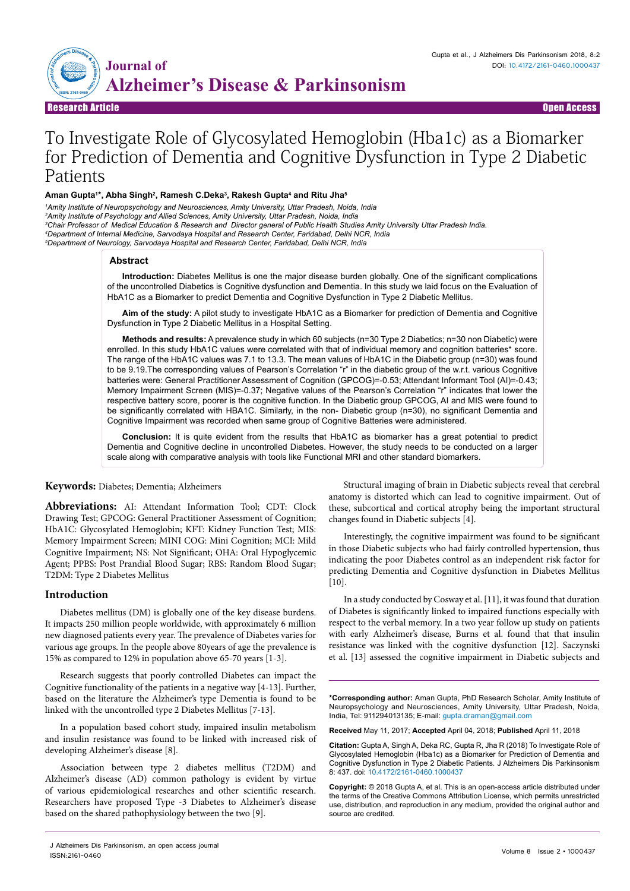

# To Investigate Role of Glycosylated Hemoglobin (Hba1c) as a Biomarker for Prediction of Dementia and Cognitive Dysfunction in Type 2 Diabetic Patients

# **Aman Gupta1 \*, Abha Singh2 , Ramesh C.Deka3 , Rakesh Gupta4 and Ritu Jha5**

 *Amity Institute of Neuropsychology and Neurosciences, Amity University, Uttar Pradesh, Noida, India Amity Institute of Psychology and Allied Sciences, Amity University, Uttar Pradesh, Noida, India Chair Professor of Medical Education & Research and Director general of Public Health Studies Amity University Uttar Pradesh India. Department of Internal Medicine, Sarvodaya Hospital and Research Center, Faridabad, Delhi NCR, India Department of Neurology, Sarvodaya Hospital and Research Center, Faridabad, Delhi NCR, India*

# **Abstract**

**Introduction:** Diabetes Mellitus is one the major disease burden globally. One of the significant complications of the uncontrolled Diabetics is Cognitive dysfunction and Dementia. In this study we laid focus on the Evaluation of HbA1C as a Biomarker to predict Dementia and Cognitive Dysfunction in Type 2 Diabetic Mellitus.

**Aim of the study:** A pilot study to investigate HbA1C as a Biomarker for prediction of Dementia and Cognitive Dysfunction in Type 2 Diabetic Mellitus in a Hospital Setting.

**Methods and results:** A prevalence study in which 60 subjects (n=30 Type 2 Diabetics; n=30 non Diabetic) were enrolled. In this study HbA1C values were correlated with that of individual memory and cognition batteries\* score. The range of the HbA1C values was 7.1 to 13.3. The mean values of HbA1C in the Diabetic group (n=30) was found to be 9.19.The corresponding values of Pearson's Correlation "r" in the diabetic group of the w.r.t. various Cognitive batteries were: General Practitioner Assessment of Cognition (GPCOG)=-0.53; Attendant Informant Tool (AI)=-0.43; Memory Impairment Screen (MIS)=-0.37; Negative values of the Pearson's Correlation "r" indicates that lower the respective battery score, poorer is the cognitive function. In the Diabetic group GPCOG, AI and MIS were found to be significantly correlated with HBA1C. Similarly, in the non- Diabetic group (n=30), no significant Dementia and Cognitive Impairment was recorded when same group of Cognitive Batteries were administered.

**Conclusion:** It is quite evident from the results that HbA1C as biomarker has a great potential to predict Dementia and Cognitive decline in uncontrolled Diabetes. However, the study needs to be conducted on a larger scale along with comparative analysis with tools like Functional MRI and other standard biomarkers.

# **Keywords:** Diabetes; Dementia; Alzheimers

**Abbreviations:** AI: Attendant Information Tool; CDT: Clock Drawing Test; GPCOG: General Practitioner Assessment of Cognition; HbA1C: Glycosylated Hemoglobin; KFT: Kidney Function Test; MIS: Memory Impairment Screen; MINI COG: Mini Cognition; MCI: Mild Cognitive Impairment; NS: Not Significant; OHA: Oral Hypoglycemic Agent; PPBS: Post Prandial Blood Sugar; RBS: Random Blood Sugar; T2DM: Type 2 Diabetes Mellitus

# **Introduction**

Diabetes mellitus (DM) is globally one of the key disease burdens. It impacts 250 million people worldwide, with approximately 6 million new diagnosed patients every year. The prevalence of Diabetes varies for various age groups. In the people above 80years of age the prevalence is 15% as compared to 12% in population above 65-70 years [1-3].

Research suggests that poorly controlled Diabetes can impact the Cognitive functionality of the patients in a negative way [4-13]. Further, based on the literature the Alzheimer's type Dementia is found to be linked with the uncontrolled type 2 Diabetes Mellitus [7-13].

In a population based cohort study, impaired insulin metabolism and insulin resistance was found to be linked with increased risk of developing Alzheimer's disease [8].

Association between type 2 diabetes mellitus (T2DM) and Alzheimer's disease (AD) common pathology is evident by virtue of various epidemiological researches and other scientific research. Researchers have proposed Type -3 Diabetes to Alzheimer's disease based on the shared pathophysiology between the two [9].

Structural imaging of brain in Diabetic subjects reveal that cerebral anatomy is distorted which can lead to cognitive impairment. Out of these, subcortical and cortical atrophy being the important structural changes found in Diabetic subjects [4].

Interestingly, the cognitive impairment was found to be significant in those Diabetic subjects who had fairly controlled hypertension, thus indicating the poor Diabetes control as an independent risk factor for predicting Dementia and Cognitive dysfunction in Diabetes Mellitus [10].

In a study conducted by Cosway et al. [11], it was found that duration of Diabetes is significantly linked to impaired functions especially with respect to the verbal memory. In a two year follow up study on patients with early Alzheimer's disease, Burns et al. found that that insulin resistance was linked with the cognitive dysfunction [12]. Saczynski et al. [13] assessed the cognitive impairment in Diabetic subjects and

**\*Corresponding author:** Aman Gupta, PhD Research Scholar, Amity Institute of Neuropsychology and Neurosciences, Amity University, Uttar Pradesh, Noida, India, Tel: 911294013135; E-mail: gupta.draman@gmail.com

**Received** May 11, 2017; **Accepted** April 04, 2018; **Published** April 11, 2018

**Citation:** Gupta A, Singh A, Deka RC, Gupta R, Jha R (2018) To Investigate Role of Glycosylated Hemoglobin (Hba1c) as a Biomarker for Prediction of Dementia and Cognitive Dysfunction in Type 2 Diabetic Patients. J Alzheimers Dis Parkinsonism 8: 437. doi: 10.4172/2161-0460.1000437

**Copyright:** © 2018 Gupta A, et al. This is an open-access article distributed under the terms of the Creative Commons Attribution License, which permits unrestricted use, distribution, and reproduction in any medium, provided the original author and source are credited.

J Alzheimers Dis Parkinsonism, an open access journal ISSN:2161-0460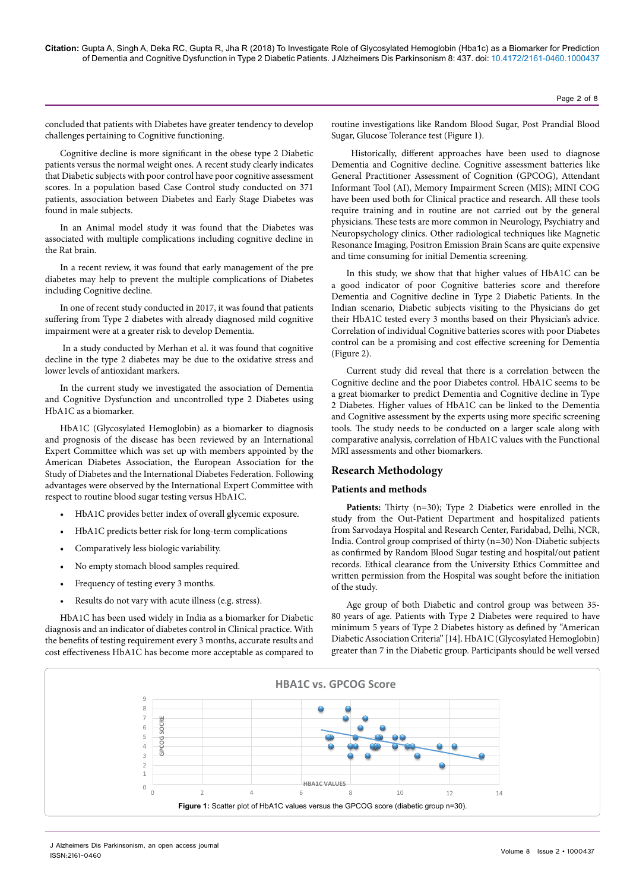concluded that patients with Diabetes have greater tendency to develop challenges pertaining to Cognitive functioning.

Cognitive decline is more significant in the obese type 2 Diabetic patients versus the normal weight ones. A recent study clearly indicates that Diabetic subjects with poor control have poor cognitive assessment scores. In a population based Case Control study conducted on 371 patients, association between Diabetes and Early Stage Diabetes was found in male subjects.

In an Animal model study it was found that the Diabetes was associated with multiple complications including cognitive decline in the Rat brain.

In a recent review, it was found that early management of the pre diabetes may help to prevent the multiple complications of Diabetes including Cognitive decline.

In one of recent study conducted in 2017, it was found that patients suffering from Type 2 diabetes with already diagnosed mild cognitive impairment were at a greater risk to develop Dementia.

 In a study conducted by Merhan et al. it was found that cognitive decline in the type 2 diabetes may be due to the oxidative stress and lower levels of antioxidant markers.

In the current study we investigated the association of Dementia and Cognitive Dysfunction and uncontrolled type 2 Diabetes using HbA1C as a biomarker.

HbA1C (Glycosylated Hemoglobin) as a biomarker to diagnosis and prognosis of the disease has been reviewed by an International Expert Committee which was set up with members appointed by the American Diabetes Association, the European Association for the Study of Diabetes and the International Diabetes Federation. Following advantages were observed by the International Expert Committee with respect to routine blood sugar testing versus HbA1C.

- HbA1C provides better index of overall glycemic exposure.
- HbA1C predicts better risk for long-term complications
- Comparatively less biologic variability.
- No empty stomach blood samples required.
- Frequency of testing every 3 months.
- Results do not vary with acute illness (e.g. stress).

HbA1C has been used widely in India as a biomarker for Diabetic diagnosis and an indicator of diabetes control in Clinical practice. With the benefits of testing requirement every 3 months, accurate results and cost effectiveness HbA1C has become more acceptable as compared to

routine investigations like Random Blood Sugar, Post Prandial Blood Sugar, Glucose Tolerance test (Figure 1).

 Historically, different approaches have been used to diagnose Dementia and Cognitive decline. Cognitive assessment batteries like General Practitioner Assessment of Cognition (GPCOG), Attendant Informant Tool (AI), Memory Impairment Screen (MIS); MINI COG have been used both for Clinical practice and research. All these tools require training and in routine are not carried out by the general physicians. These tests are more common in Neurology, Psychiatry and Neuropsychology clinics. Other radiological techniques like Magnetic Resonance Imaging, Positron Emission Brain Scans are quite expensive and time consuming for initial Dementia screening.

In this study, we show that that higher values of HbA1C can be a good indicator of poor Cognitive batteries score and therefore Dementia and Cognitive decline in Type 2 Diabetic Patients. In the Indian scenario, Diabetic subjects visiting to the Physicians do get their HbA1C tested every 3 months based on their Physician's advice. Correlation of individual Cognitive batteries scores with poor Diabetes control can be a promising and cost effective screening for Dementia (Figure 2).

Current study did reveal that there is a correlation between the Cognitive decline and the poor Diabetes control. HbA1C seems to be a great biomarker to predict Dementia and Cognitive decline in Type 2 Diabetes. Higher values of HbA1C can be linked to the Dementia and Cognitive assessment by the experts using more specific screening tools. The study needs to be conducted on a larger scale along with comparative analysis, correlation of HbA1C values with the Functional MRI assessments and other biomarkers.

# **Research Methodology**

### **Patients and methods**

Patients: Thirty (n=30); Type 2 Diabetics were enrolled in the study from the Out-Patient Department and hospitalized patients from Sarvodaya Hospital and Research Center, Faridabad, Delhi, NCR, India. Control group comprised of thirty (n=30) Non-Diabetic subjects as confirmed by Random Blood Sugar testing and hospital/out patient records. Ethical clearance from the University Ethics Committee and written permission from the Hospital was sought before the initiation of the study.

Age group of both Diabetic and control group was between 35- 80 years of age. Patients with Type 2 Diabetes were required to have minimum 5 years of Type 2 Diabetes history as defined by "American Diabetic Association Criteria" [14]. HbA1C (Glycosylated Hemoglobin) greater than 7 in the Diabetic group. Participants should be well versed



J Alzheimers Dis Parkinsonism, an open access journal ISSN:2161-0460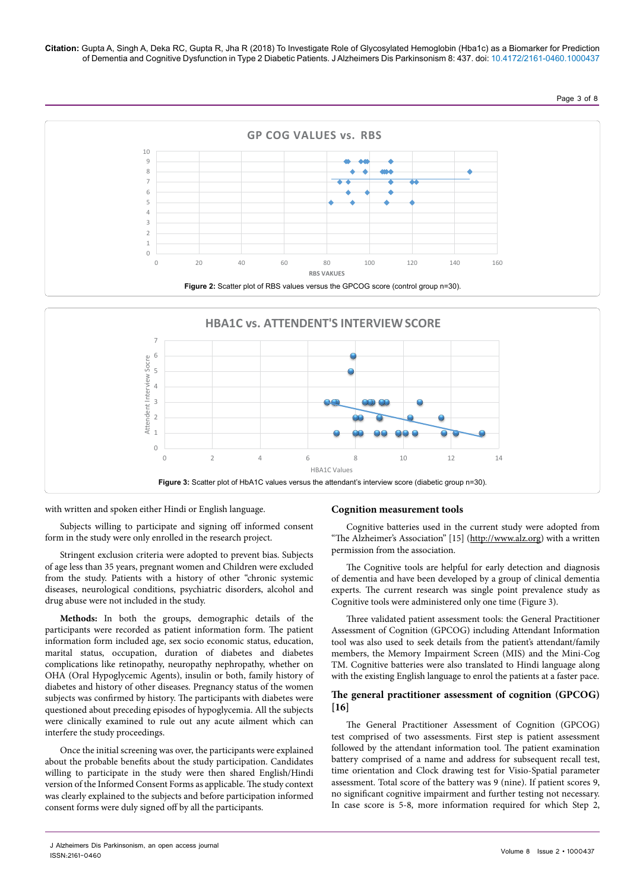# Page 3 of 8



**Figure 3:** Scatter plot of HbA1C values versus the attendant's interview score (diabetic group n=30).

with written and spoken either Hindi or English language.

Subjects willing to participate and signing off informed consent form in the study were only enrolled in the research project.

Stringent exclusion criteria were adopted to prevent bias. Subjects of age less than 35 years, pregnant women and Children were excluded from the study. Patients with a history of other "chronic systemic diseases, neurological conditions, psychiatric disorders, alcohol and drug abuse were not included in the study.

**Methods:** In both the groups, demographic details of the participants were recorded as patient information form. The patient information form included age, sex socio economic status, education, marital status, occupation, duration of diabetes and diabetes complications like retinopathy, neuropathy nephropathy, whether on OHA (Oral Hypoglycemic Agents), insulin or both, family history of diabetes and history of other diseases. Pregnancy status of the women subjects was confirmed by history. The participants with diabetes were questioned about preceding episodes of hypoglycemia. All the subjects were clinically examined to rule out any acute ailment which can interfere the study proceedings.

Once the initial screening was over, the participants were explained about the probable benefits about the study participation. Candidates willing to participate in the study were then shared English/Hindi version of the Informed Consent Forms as applicable. The study context was clearly explained to the subjects and before participation informed consent forms were duly signed off by all the participants.

## **Cognition measurement tools**

Cognitive batteries used in the current study were adopted from "The Alzheimer's Association" [15] [\(http://www.alz.org](http://www.alz.org)) with a written permission from the association.

The Cognitive tools are helpful for early detection and diagnosis of dementia and have been developed by a group of clinical dementia experts. The current research was single point prevalence study as Cognitive tools were administered only one time (Figure 3).

Three validated patient assessment tools: the General Practitioner Assessment of Cognition (GPCOG) including Attendant Information tool was also used to seek details from the patient's attendant/family members, the Memory Impairment Screen (MIS) and the Mini-Cog TM. Cognitive batteries were also translated to Hindi language along with the existing English language to enrol the patients at a faster pace.

# **The general practitioner assessment of cognition (GPCOG) [16]**

The General Practitioner Assessment of Cognition (GPCOG) test comprised of two assessments. First step is patient assessment followed by the attendant information tool. The patient examination battery comprised of a name and address for subsequent recall test, time orientation and Clock drawing test for Visio-Spatial parameter assessment. Total score of the battery was 9 (nine). If patient scores 9, no significant cognitive impairment and further testing not necessary. In case score is 5-8, more information required for which Step 2,

J Alzheimers Dis Parkinsonism, an open access journal ISSN:2161-0460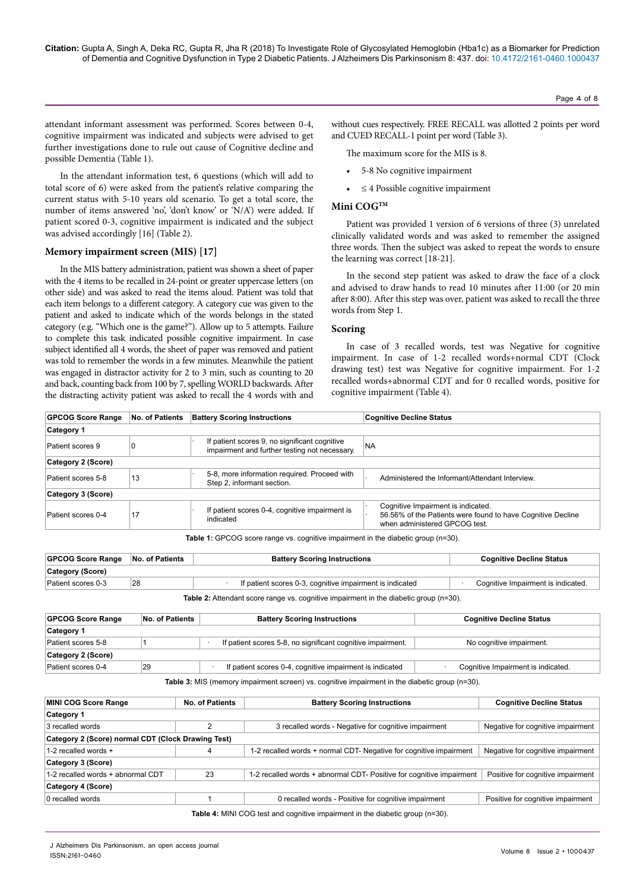attendant informant assessment was performed. Scores between 0-4, cognitive impairment was indicated and subjects were advised to get further investigations done to rule out cause of Cognitive decline and possible Dementia (Table 1).

In the attendant information test, 6 questions (which will add to total score of 6) were asked from the patient's relative comparing the current status with 5-10 years old scenario. To get a total score, the number of items answered 'no', 'don't know' or 'N/A') were added. If patient scored 0-3, cognitive impairment is indicated and the subject was advised accordingly [16] (Table 2).

# **Memory impairment screen (MIS) [17]**

In the MIS battery administration, patient was shown a sheet of paper with the 4 items to be recalled in 24-point or greater uppercase letters (on other side) and was asked to read the items aloud. Patient was told that each item belongs to a different category. A category cue was given to the patient and asked to indicate which of the words belongs in the stated category (e.g. "Which one is the game?"). Allow up to 5 attempts. Failure to complete this task indicated possible cognitive impairment. In case subject identified all 4 words, the sheet of paper was removed and patient was told to remember the words in a few minutes. Meanwhile the patient was engaged in distractor activity for 2 to 3 min, such as counting to 20 and back, counting back from 100 by 7, spelling WORLD backwards. After the distracting activity patient was asked to recall the 4 words with and

without cues respectively. FREE RECALL was allotted 2 points per word and CUED RECALL-1 point per word (Table 3).

The maximum score for the MIS is 8.

- 5-8 No cognitive impairment
- ≤ 4 Possible cognitive impairment

# **Mini COGTM**

Patient was provided 1 version of 6 versions of three (3) unrelated clinically validated words and was asked to remember the assigned three words. Then the subject was asked to repeat the words to ensure the learning was correct [18-21].

In the second step patient was asked to draw the face of a clock and advised to draw hands to read 10 minutes after 11:00 (or 20 min after 8:00). After this step was over, patient was asked to recall the three words from Step 1.

## **Scoring**

In case of 3 recalled words, test was Negative for cognitive impairment. In case of 1-2 recalled words+normal CDT (Clock drawing test) test was Negative for cognitive impairment. For 1-2 recalled words+abnormal CDT and for 0 recalled words, positive for cognitive impairment (Table 4).

| <b>GPCOG Score Range</b> | <b>No. of Patients</b> | <b>Battery Scoring Instructions</b>                                                            | <b>Cognitive Decline Status</b>                                                                                                    |  |  |  |
|--------------------------|------------------------|------------------------------------------------------------------------------------------------|------------------------------------------------------------------------------------------------------------------------------------|--|--|--|
| <b>Category 1</b>        |                        |                                                                                                |                                                                                                                                    |  |  |  |
| Patient scores 9         |                        | If patient scores 9, no significant cognitive<br>impairment and further testing not necessary. | <b>NA</b>                                                                                                                          |  |  |  |
| Category 2 (Score)       |                        |                                                                                                |                                                                                                                                    |  |  |  |
| Patient scores 5-8       | 13                     | 5-8, more information required. Proceed with<br>Step 2, informant section.                     | Administered the Informant/Attendant Interview.                                                                                    |  |  |  |
| Category 3 (Score)       |                        |                                                                                                |                                                                                                                                    |  |  |  |
| Patient scores 0-4       | 17                     | If patient scores 0-4, cognitive impairment is<br>indicated                                    | Cognitive Impairment is indicated.<br>56.56% of the Patients were found to have Cognitive Decline<br>when administered GPCOG test. |  |  |  |
|                          |                        |                                                                                                |                                                                                                                                    |  |  |  |

**Table 1:** GPCOG score range vs. cognitive impairment in the diabetic group (n=30).

| <b>GPCOG Score Range</b> | No. of Patients | <b>Battery Scoring Instructions</b>                      | <b>Cognitive Decline Status</b>    |
|--------------------------|-----------------|----------------------------------------------------------|------------------------------------|
| Category (Score)         |                 |                                                          |                                    |
| Patient scores 0-3       | 28              | If patient scores 0-3, cognitive impairment is indicated | Cognitive Impairment is indicated. |
|                          |                 | _                                                        |                                    |

**Table 2:** Attendant score range vs. cognitive impairment in the diabetic group (n=30).

| <b>GPCOG Score Range</b> | <b>Battery Scoring Instructions</b><br><b>No. of Patients</b> |                                                             | <b>Cognitive Decline Status</b>    |  |
|--------------------------|---------------------------------------------------------------|-------------------------------------------------------------|------------------------------------|--|
| <b>Category 1</b>        |                                                               |                                                             |                                    |  |
| Patient scores 5-8       |                                                               | If patient scores 5-8, no significant cognitive impairment. | No cognitive impairment.           |  |
| Category 2 (Score)       |                                                               |                                                             |                                    |  |
| Patient scores 0-4       | 29                                                            | If patient scores 0-4, cognitive impairment is indicated    | Cognitive Impairment is indicated. |  |
|                          |                                                               |                                                             |                                    |  |

**Table 3:** MIS (memory impairment screen) vs. cognitive impairment in the diabetic group (n=30).

| MINI COG Score Range                                                                  | <b>No. of Patients</b> | <b>Battery Scoring Instructions</b>                                  | <b>Cognitive Decline Status</b>   |  |  |  |
|---------------------------------------------------------------------------------------|------------------------|----------------------------------------------------------------------|-----------------------------------|--|--|--|
| Category 1                                                                            |                        |                                                                      |                                   |  |  |  |
| 3 recalled words                                                                      | ◠                      | 3 recalled words - Negative for cognitive impairment                 | Negative for cognitive impairment |  |  |  |
| Category 2 (Score) normal CDT (Clock Drawing Test)                                    |                        |                                                                      |                                   |  |  |  |
| 1-2 recalled words +                                                                  | 4                      | 1-2 recalled words + normal CDT- Negative for cognitive impairment   | Negative for cognitive impairment |  |  |  |
| Category 3 (Score)                                                                    |                        |                                                                      |                                   |  |  |  |
| 1-2 recalled words + abnormal CDT                                                     | 23                     | 1-2 recalled words + abnormal CDT- Positive for cognitive impairment | Positive for cognitive impairment |  |  |  |
| Category 4 (Score)                                                                    |                        |                                                                      |                                   |  |  |  |
| 0 recalled words                                                                      |                        | 0 recalled words - Positive for cognitive impairment                 | Positive for cognitive impairment |  |  |  |
| <b>Toble 4:</b> MINILCOC toot and cognitive impoirment in the dighetic group $(n=20)$ |                        |                                                                      |                                   |  |  |  |

**Table 4:** MINI COG test and cognitive impairment in the diabetic group (n=30).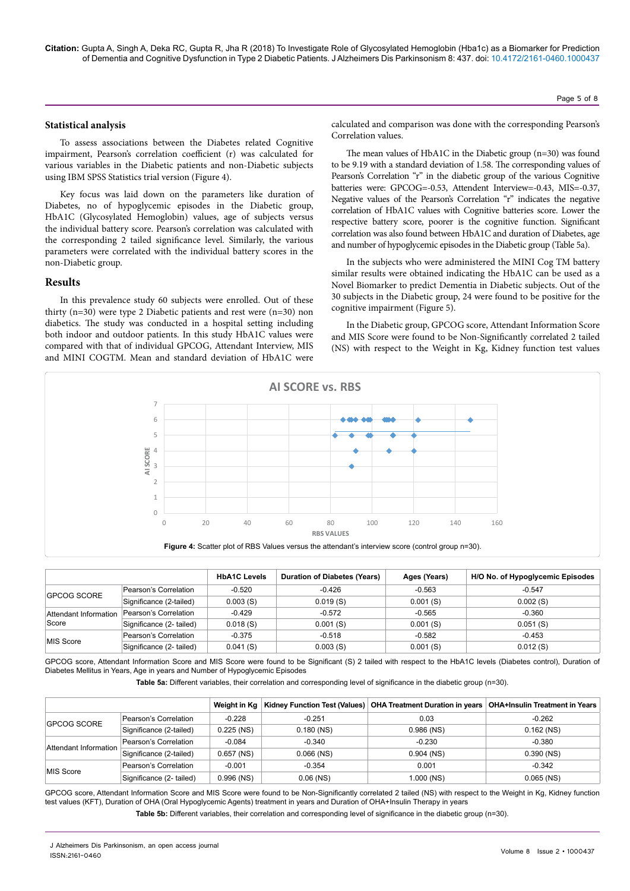### **Statistical analysis**

To assess associations between the Diabetes related Cognitive impairment, Pearson's correlation coefficient (r) was calculated for various variables in the Diabetic patients and non-Diabetic subjects using IBM SPSS Statistics trial version (Figure 4).

Key focus was laid down on the parameters like duration of Diabetes, no of hypoglycemic episodes in the Diabetic group, HbA1C (Glycosylated Hemoglobin) values, age of subjects versus the individual battery score. Pearson's correlation was calculated with the corresponding 2 tailed significance level. Similarly, the various parameters were correlated with the individual battery scores in the non-Diabetic group.

### **Results**

In this prevalence study 60 subjects were enrolled. Out of these thirty  $(n=30)$  were type 2 Diabetic patients and rest were  $(n=30)$  non diabetics. The study was conducted in a hospital setting including both indoor and outdoor patients. In this study HbA1C values were compared with that of individual GPCOG, Attendant Interview, MIS and MINI COGTM. Mean and standard deviation of HbA1C were

calculated and comparison was done with the corresponding Pearson's Correlation values.

The mean values of HbA1C in the Diabetic group (n=30) was found to be 9.19 with a standard deviation of 1.58. The corresponding values of Pearson's Correlation "r" in the diabetic group of the various Cognitive batteries were: GPCOG=-0.53, Attendent Interview=-0.43, MIS=-0.37, Negative values of the Pearson's Correlation "r" indicates the negative correlation of HbA1C values with Cognitive batteries score. Lower the respective battery score, poorer is the cognitive function. Significant correlation was also found between HbA1C and duration of Diabetes, age and number of hypoglycemic episodes in the Diabetic group (Table 5a).

In the subjects who were administered the MINI Cog TM battery similar results were obtained indicating the HbA1C can be used as a Novel Biomarker to predict Dementia in Diabetic subjects. Out of the 30 subjects in the Diabetic group, 24 were found to be positive for the cognitive impairment (Figure 5).

In the Diabetic group, GPCOG score, Attendant Information Score and MIS Score were found to be Non-Significantly correlated 2 tailed (NS) with respect to the Weight in Kg, Kidney function test values



|                                |                          | <b>HbA1C Levels</b> | <b>Duration of Diabetes (Years)</b> | Ages (Years) | H/O No. of Hypoglycemic Episodes |
|--------------------------------|--------------------------|---------------------|-------------------------------------|--------------|----------------------------------|
| <b>GPCOG SCORE</b>             | Pearson's Correlation    | $-0.520$            | $-0.426$                            | $-0.563$     | $-0.547$                         |
|                                | Significance (2-tailed)  | 0.003(S)            | 0.019(S)                            | 0.001(S)     | 0.002(S)                         |
| Attendant Information<br>Score | Pearson's Correlation    | $-0.429$            | $-0.572$                            | $-0.565$     | $-0.360$                         |
|                                | Significance (2- tailed) | 0.018(S)            | 0.001(S)                            | 0.001(S)     | 0.051(S)                         |
| MIS Score                      | Pearson's Correlation    | $-0.375$            | $-0.518$                            | $-0.582$     | $-0.453$                         |
|                                | Significance (2- tailed) | 0.041(S)            | 0.003(S)                            | 0.001(S)     | 0.012(S)                         |

GPCOG score, Attendant Information Score and MIS Score were found to be Significant (S) 2 tailed with respect to the HbA1C levels (Diabetes control), Duration of Diabetes Mellitus in Years, Age in years and Number of Hypoglycemic Episodes

**Table 5a:** Different variables, their correlation and corresponding level of significance in the diabetic group (n=30).

|                       |                          | Weiaht in Ka |              | Kidney Function Test (Values)   OHA Treatment Duration in years   OHA+Insulin Treatment in Years |              |
|-----------------------|--------------------------|--------------|--------------|--------------------------------------------------------------------------------------------------|--------------|
| <b>GPCOG SCORE</b>    | Pearson's Correlation    | $-0.228$     | $-0.251$     | 0.03                                                                                             | $-0.262$     |
|                       | Significance (2-tailed)  | $0.225$ (NS) | $0.180$ (NS) | $0.986$ (NS)                                                                                     | $0.162$ (NS) |
| Attendant Information | Pearson's Correlation    | $-0.084$     | $-0.340$     | $-0.230$                                                                                         | $-0.380$     |
|                       | Significance (2-tailed)  | $0.657$ (NS) | $0.066$ (NS) | $0.904$ (NS)                                                                                     | $0.390$ (NS) |
| MIS Score             | Pearson's Correlation    | $-0.001$     | $-0.354$     | 0.001                                                                                            | $-0.342$     |
|                       | Significance (2- tailed) | $0.996$ (NS) | $0.06$ (NS)  | 1.000 (NS)                                                                                       | $0.065$ (NS) |

GPCOG score, Attendant Information Score and MIS Score were found to be Non-Significantly correlated 2 tailed (NS) with respect to the Weight in Kg, Kidney function test values (KFT), Duration of OHA (Oral Hypoglycemic Agents) treatment in years and Duration of OHA+Insulin Therapy in years

**Table 5b:** Different variables, their correlation and corresponding level of significance in the diabetic group (n=30).

Page 5 of 8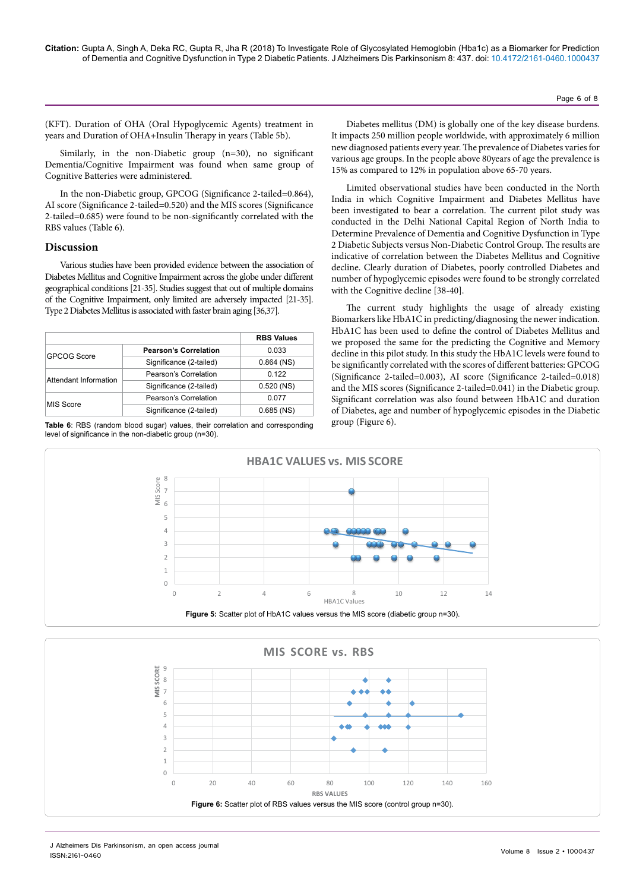(KFT). Duration of OHA (Oral Hypoglycemic Agents) treatment in years and Duration of OHA+Insulin Therapy in years (Table 5b).

Similarly, in the non-Diabetic group (n=30), no significant Dementia/Cognitive Impairment was found when same group of Cognitive Batteries were administered.

In the non-Diabetic group, GPCOG (Significance 2-tailed=0.864), AI score (Significance 2-tailed=0.520) and the MIS scores (Significance 2-tailed=0.685) were found to be non-significantly correlated with the RBS values (Table 6).

## **Discussion**

Various studies have been provided evidence between the association of Diabetes Mellitus and Cognitive Impairment across the globe under different geographical conditions [21-35]. Studies suggest that out of multiple domains of the Cognitive Impairment, only limited are adversely impacted [21-35]. Type 2 Diabetes Mellitus is associated with faster brain aging [36,37].

|                       |                              | <b>RBS Values</b> |
|-----------------------|------------------------------|-------------------|
| GPCOG Score           | <b>Pearson's Correlation</b> | 0.033             |
|                       | Significance (2-tailed)      | $0.864$ (NS)      |
| Attendant Information | Pearson's Correlation        | 0.122             |
|                       | Significance (2-tailed)      | $0.520$ (NS)      |
|                       | Pearson's Correlation        | 0.077             |
| MIS Score             | Significance (2-tailed)      | $0.685$ (NS)      |

**Table 6**: RBS (random blood sugar) values, their correlation and corresponding level of significance in the non-diabetic group (n=30).

Diabetes mellitus (DM) is globally one of the key disease burdens. It impacts 250 million people worldwide, with approximately 6 million new diagnosed patients every year. The prevalence of Diabetes varies for various age groups. In the people above 80years of age the prevalence is 15% as compared to 12% in population above 65-70 years.

Limited observational studies have been conducted in the North India in which Cognitive Impairment and Diabetes Mellitus have been investigated to bear a correlation. The current pilot study was conducted in the Delhi National Capital Region of North India to Determine Prevalence of Dementia and Cognitive Dysfunction in Type 2 Diabetic Subjects versus Non-Diabetic Control Group. The results are indicative of correlation between the Diabetes Mellitus and Cognitive decline. Clearly duration of Diabetes, poorly controlled Diabetes and number of hypoglycemic episodes were found to be strongly correlated with the Cognitive decline [38-40].

The current study highlights the usage of already existing Biomarkers like HbA1C in predicting/diagnosing the newer indication. HbA1C has been used to define the control of Diabetes Mellitus and we proposed the same for the predicting the Cognitive and Memory decline in this pilot study. In this study the HbA1C levels were found to be significantly correlated with the scores of different batteries: GPCOG (Significance 2-tailed=0.003), AI score (Significance 2-tailed=0.018) and the MIS scores (Significance 2-tailed=0.041) in the Diabetic group. Significant correlation was also found between HbA1C and duration of Diabetes, age and number of hypoglycemic episodes in the Diabetic group (Figure 6).



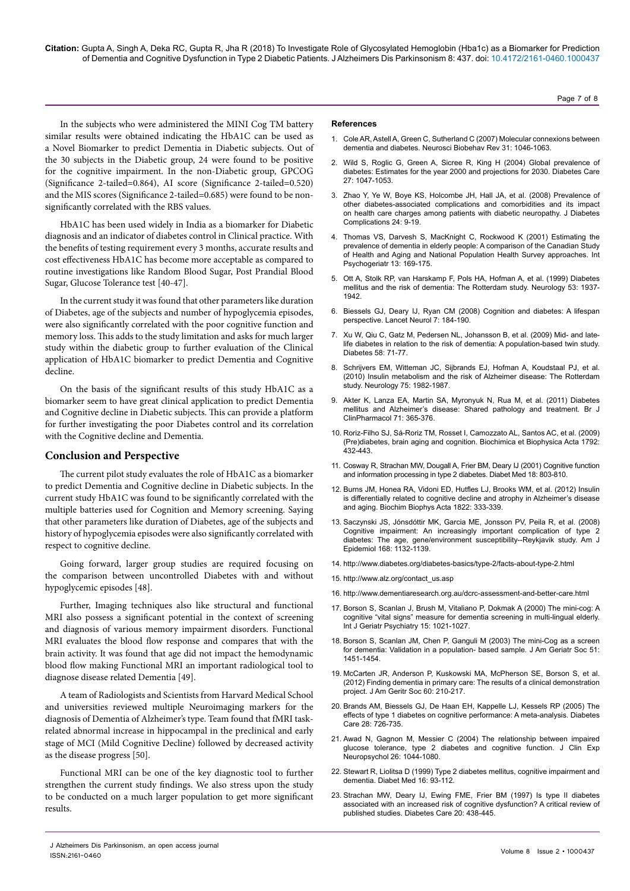In the subjects who were administered the MINI Cog TM battery similar results were obtained indicating the HbA1C can be used as a Novel Biomarker to predict Dementia in Diabetic subjects. Out of the 30 subjects in the Diabetic group, 24 were found to be positive for the cognitive impairment. In the non-Diabetic group, GPCOG (Significance 2-tailed=0.864), AI score (Significance 2-tailed=0.520) and the MIS scores (Significance 2-tailed=0.685) were found to be nonsignificantly correlated with the RBS values.

HbA1C has been used widely in India as a biomarker for Diabetic diagnosis and an indicator of diabetes control in Clinical practice. With the benefits of testing requirement every 3 months, accurate results and cost effectiveness HbA1C has become more acceptable as compared to routine investigations like Random Blood Sugar, Post Prandial Blood Sugar, Glucose Tolerance test [40-47].

In the current study it was found that other parameters like duration of Diabetes, age of the subjects and number of hypoglycemia episodes, were also significantly correlated with the poor cognitive function and memory loss. This adds to the study limitation and asks for much larger study within the diabetic group to further evaluation of the Clinical application of HbA1C biomarker to predict Dementia and Cognitive decline.

On the basis of the significant results of this study HbA1C as a biomarker seem to have great clinical application to predict Dementia and Cognitive decline in Diabetic subjects. This can provide a platform for further investigating the poor Diabetes control and its correlation with the Cognitive decline and Dementia.

## **Conclusion and Perspective**

The current pilot study evaluates the role of HbA1C as a biomarker to predict Dementia and Cognitive decline in Diabetic subjects. In the current study HbA1C was found to be significantly correlated with the multiple batteries used for Cognition and Memory screening. Saying that other parameters like duration of Diabetes, age of the subjects and history of hypoglycemia episodes were also significantly correlated with respect to cognitive decline.

Going forward, larger group studies are required focusing on the comparison between uncontrolled Diabetes with and without hypoglycemic episodes [48].

Further, Imaging techniques also like structural and functional MRI also possess a significant potential in the context of screening and diagnosis of various memory impairment disorders. Functional MRI evaluates the blood flow response and compares that with the brain activity. It was found that age did not impact the hemodynamic blood flow making Functional MRI an important radiological tool to diagnose disease related Dementia [49].

A team of Radiologists and Scientists from Harvard Medical School and universities reviewed multiple Neuroimaging markers for the diagnosis of Dementia of Alzheimer's type. Team found that fMRI taskrelated abnormal increase in hippocampal in the preclinical and early stage of MCI (Mild Cognitive Decline) followed by decreased activity as the disease progress [50].

Functional MRI can be one of the key diagnostic tool to further strengthen the current study findings. We also stress upon the study to be conducted on a much larger population to get more significant results.

#### **References**

- 1. [Cole AR, Astell A, Green C, Sutherland C \(2007\) Molecular connexions between](http://dx.doi.org/10.1016/j.neubiorev.2007.04.004)  [dementia and diabetes. Neurosci Biobehav Rev 31: 1046-1063.](http://dx.doi.org/10.1016/j.neubiorev.2007.04.004)
- 2. [Wild S, Roglic G, Green A, Sicree R, King H \(2004\) Global prevalence of](http://dx.doi.org/10.2337/diacare.27.5.1047)  [diabetes: Estimates for the year 2000 and projections for 2030. Diabetes Care](http://dx.doi.org/10.2337/diacare.27.5.1047)  [27: 1047-1053.](http://dx.doi.org/10.2337/diacare.27.5.1047)
- 3. [Zhao Y, Ye W, Boye KS, Holcombe JH, Hall JA, et al. \(2008\) Prevalence of](http://dx.doi.org/10.1016/j.jdiacomp.2008.09.001)  [other diabetes-associated complications and comorbidities and its impact](http://dx.doi.org/10.1016/j.jdiacomp.2008.09.001)  [on health care charges among patients with diabetic neuropathy. J Diabetes](http://dx.doi.org/10.1016/j.jdiacomp.2008.09.001)  [Complications 24: 9-19.](http://dx.doi.org/10.1016/j.jdiacomp.2008.09.001)
- 4. Thomas VS, Darvesh S, MacKnight C, Rockwood K (2001) Estimating the prevalence of dementia in elderly people: A comparison of the Canadian Study of Health and Aging and National Population Health Survey approaches. Int Psychogeriatr 13: 169-175.
- 5. [Ott A, Stolk RP, van Harskamp F, Pols HA, Hofman A, et al. \(1999\) Diabetes](http://dx.doi.org/10.1212/WNL.53.9.1937)  [mellitus and the risk of dementia: The Rotterdam study. Neurology 53: 1937-](http://dx.doi.org/10.1212/WNL.53.9.1937) [1942.](http://dx.doi.org/10.1212/WNL.53.9.1937)
- 6. [Biessels GJ, Deary IJ, Ryan CM \(2008\) Cognition and diabetes: A lifespan](http://dx.doi.org/10.1016/S1474-4422(08)70021-8)  [perspective. Lancet Neurol 7: 184-190.](http://dx.doi.org/10.1016/S1474-4422(08)70021-8)
- 7. [Xu W, Qiu C, Gatz M, Pedersen NL, Johansson B, et al. \(2009\) Mid- and late](http://dx.doi.org/10.2337/db08-0586)[life diabetes in relation to the risk of dementia: A population-based twin study.](http://dx.doi.org/10.2337/db08-0586)  [Diabetes 58: 71-77.](http://dx.doi.org/10.2337/db08-0586)
- 8. [Schrijvers EM, Witteman JC, Sijbrands EJ, Hofman A, Koudstaal PJ, et al.](http://dx.doi.org/10.1212/WNL.0b013e3181ffe4f6)  [\(2010\) Insulin metabolism and the risk of Alzheimer disease: The Rotterdam](http://dx.doi.org/10.1212/WNL.0b013e3181ffe4f6)  [study. Neurology 75: 1982-1987.](http://dx.doi.org/10.1212/WNL.0b013e3181ffe4f6)
- 9. [Akter K, Lanza EA, Martin SA, Myronyuk N, Rua M, et al. \(2011\) Diabetes](http://dx.doi.org/10.1111/j.1365-2125.2010.03830.x)  [mellitus and Alzheimer's disease: Shared pathology and treatment. Br J](http://dx.doi.org/10.1111/j.1365-2125.2010.03830.x)  [ClinPharmacol 71: 365-376.](http://dx.doi.org/10.1111/j.1365-2125.2010.03830.x)
- 10. [Roriz-Filho SJ, Sá-Roriz TM, Rosset I, Camozzato AL, Santos AC, et al. \(2009\)](http://dx.doi.org/10.1016/j.bbadis.2008.12.003)  [\(Pre\)diabetes, brain aging and cognition. Biochimica et Biophysica Acta 1792:](http://dx.doi.org/10.1016/j.bbadis.2008.12.003)  [432-443.](http://dx.doi.org/10.1016/j.bbadis.2008.12.003)
- 11. [Cosway R, Strachan MW, Dougall A, Frier BM, Deary IJ \(2001\) Cognitive function](http://dx.doi.org/10.1046/j.1464-5491.2001.00577.x)  [and information processing in type 2 diabetes. Diabet Med 18: 803-810.](http://dx.doi.org/10.1046/j.1464-5491.2001.00577.x)
- 12. [Burns JM, Honea RA, Vidoni ED, Hutfles LJ, Brooks WM, et al. \(2012\) Insulin](http://dx.doi.org/10.1016/j.bbadis.2011.06.011)  [is differentially related to cognitive decline and atrophy in Alzheimer's disease](http://dx.doi.org/10.1016/j.bbadis.2011.06.011)  [and aging. Biochim Biophys Acta 1822: 333-339.](http://dx.doi.org/10.1016/j.bbadis.2011.06.011)
- 13. [Saczynski JS, Jónsdóttir MK, Garcia ME, Jonsson PV, Peila R, et al. \(2008\)](http://dx.doi.org/10.1093/aje/kwn228)  [Cognitive impairment: An increasingly important complication of type 2](http://dx.doi.org/10.1093/aje/kwn228)  [diabetes: The age, gene/environment susceptibility--Reykjavik study. Am J](http://dx.doi.org/10.1093/aje/kwn228)  [Epidemiol 168: 1132-1139.](http://dx.doi.org/10.1093/aje/kwn228)
- 14. <http://www.diabetes.org/diabetes-basics/type-2/facts-about-type-2.html>
- 15. [http://www.alz.org/contact\\_us.asp](http://www.alz.org/contact_us.asp)
- 16. <http://www.dementiaresearch.org.au/dcrc-assessment-and-better-care.html>
- 17. Borson S, Scanlan J, Brush M, Vitaliano P, Dokmak A (2000) The mini-cog: A cognitive "vital signs" measure for dementia screening in multi-lingual elderly. Int J Geriatr Psychiatry 15: 1021-1027.
- 18. [Borson S, Scanlan JM, Chen P, Ganguli M \(2003\) The mini-Cog as a screen](http://dx.doi.org/10.1046/j.1532-5415.2003.51465.x)  [for dementia: Validation in a population- based sample. J Am Geriatr Soc 51:](http://dx.doi.org/10.1046/j.1532-5415.2003.51465.x)  [1451-1454.](http://dx.doi.org/10.1046/j.1532-5415.2003.51465.x)
- 19. [McCarten JR, Anderson P, Kuskowski MA, McPherson SE, Borson S, et al.](http://dx.doi.org/10.1111/j.1532-5415.2011.03841.x)  [\(2012\) Finding dementia in primary care: The results of a clinical demonstration](http://dx.doi.org/10.1111/j.1532-5415.2011.03841.x)  [project. J Am Geritr Soc 60: 210-217.](http://dx.doi.org/10.1111/j.1532-5415.2011.03841.x)
- 20. [Brands AM, Biessels GJ, De Haan EH, Kappelle LJ, Kessels RP \(2005\) The](http://dx.doi.org/10.2337/diacare.28.3.726)  [effects of type 1 diabetes on cognitive performance: A meta-analysis. Diabetes](http://dx.doi.org/10.2337/diacare.28.3.726)  [Care 28: 726-735.](http://dx.doi.org/10.2337/diacare.28.3.726)
- 21. [Awad N, Gagnon M, Messier C \(2004\) The relationship between impaired](http://dx.doi.org/10.1080/13803390490514875)  [glucose tolerance, type 2 diabetes and cognitive function. J Clin Exp](http://dx.doi.org/10.1080/13803390490514875)  [Neuropsychol 26: 1044-1080.](http://dx.doi.org/10.1080/13803390490514875)
- 22. [Stewart R, Liolitsa D \(1999\) Type 2 diabetes mellitus, cognitive impairment and](http://dx.doi.org/10.1046/j.1464-5491.1999.00027.x)  [dementia. Diabet Med 16: 93-112.](http://dx.doi.org/10.1046/j.1464-5491.1999.00027.x)
- 23. Strachan MW, Deary IJ, Ewing FME, Frier BM (1997) Is type II diabetes associated with an increased risk of cognitive dysfunction? A critical review of published studies. Diabetes Care 20: 438-445.

J Alzheimers Dis Parkinsonism, an open access journal ISSN:2161-0460